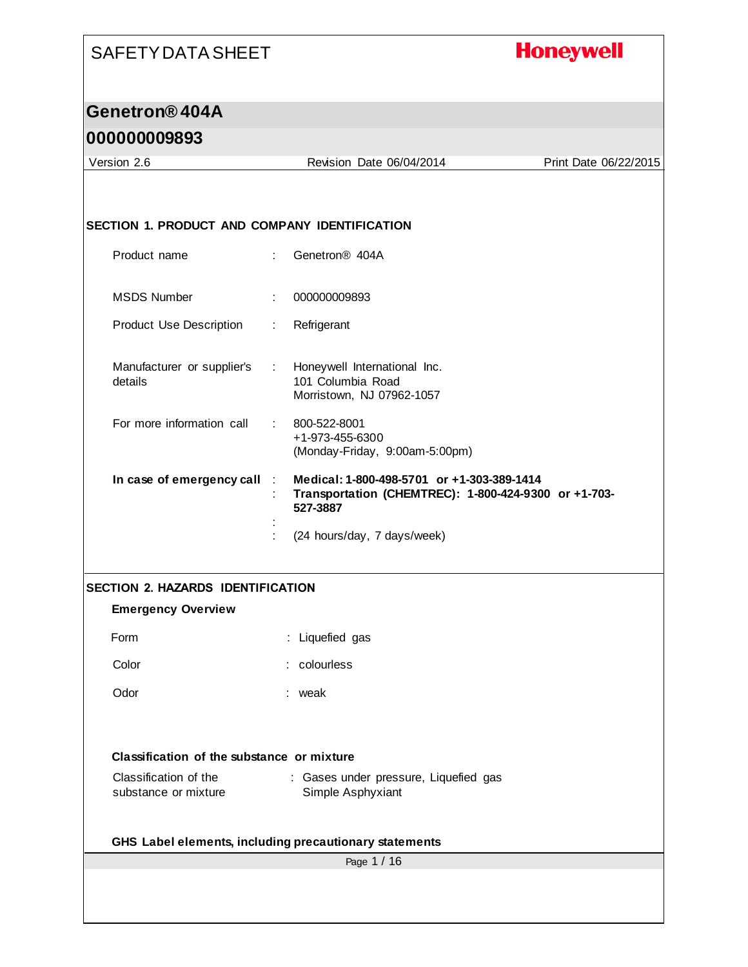# **Honeywell**

## **Genetron® 404A**

### **000000009893**

 $\mathsf{l}$ 

| Version 2.6                                          | Revision Date 06/04/2014                                                                                       | Print Date 06/22/2015 |
|------------------------------------------------------|----------------------------------------------------------------------------------------------------------------|-----------------------|
|                                                      |                                                                                                                |                       |
|                                                      |                                                                                                                |                       |
| <b>SECTION 1. PRODUCT AND COMPANY IDENTIFICATION</b> |                                                                                                                |                       |
| Product name                                         | Genetron <sup>®</sup> 404A<br>÷                                                                                |                       |
| <b>MSDS Number</b>                                   | 000000009893                                                                                                   |                       |
|                                                      | ÷                                                                                                              |                       |
| Product Use Description                              | Refrigerant<br>÷                                                                                               |                       |
| Manufacturer or supplier's<br>details                | Honeywell International Inc.<br>t.<br>101 Columbia Road<br>Morristown, NJ 07962-1057                           |                       |
| For more information call                            | 800-522-8001<br>+1-973-455-6300<br>(Monday-Friday, 9:00am-5:00pm)                                              |                       |
| In case of emergency call                            | Medical: 1-800-498-5701 or +1-303-389-1414<br>Transportation (CHEMTREC): 1-800-424-9300 or +1-703-<br>527-3887 |                       |
|                                                      | (24 hours/day, 7 days/week)                                                                                    |                       |
| <b>SECTION 2. HAZARDS IDENTIFICATION</b>             |                                                                                                                |                       |
| <b>Emergency Overview</b>                            |                                                                                                                |                       |
| Form                                                 | : Liquefied gas                                                                                                |                       |
| Color                                                | : colourless                                                                                                   |                       |
|                                                      |                                                                                                                |                       |
| Odor                                                 | : weak                                                                                                         |                       |
| Classification of the substance or mixture           |                                                                                                                |                       |
| Classification of the                                | : Gases under pressure, Liquefied gas                                                                          |                       |
| substance or mixture                                 | Simple Asphyxiant                                                                                              |                       |
|                                                      |                                                                                                                |                       |
|                                                      | GHS Label elements, including precautionary statements<br>Page 1 / 16                                          |                       |
|                                                      |                                                                                                                |                       |
|                                                      |                                                                                                                |                       |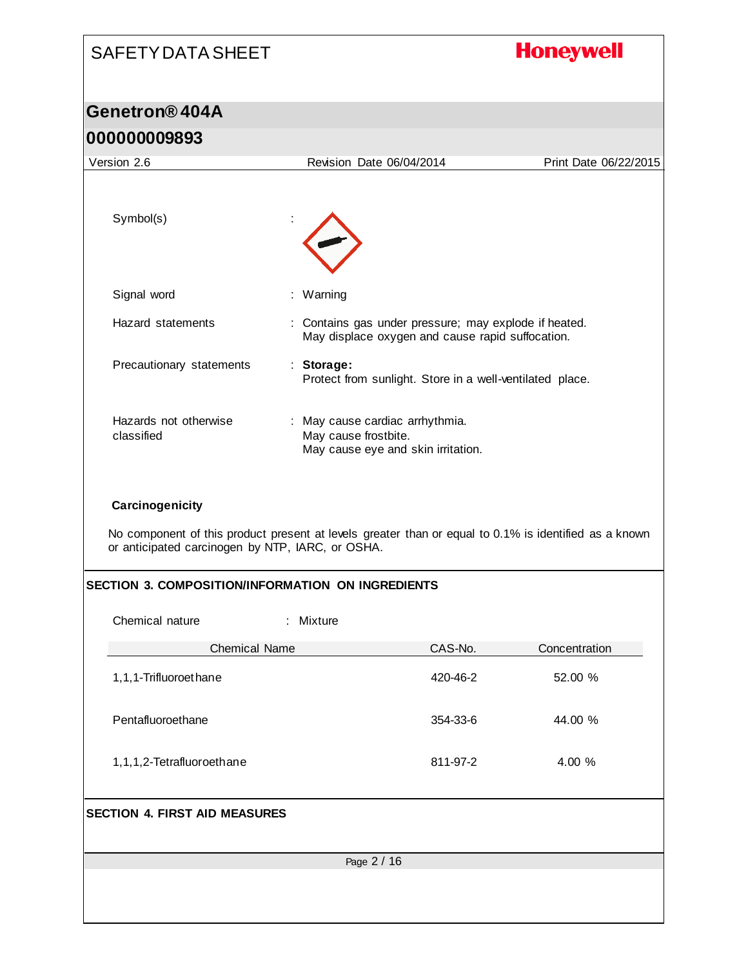# SAFETY DATA SHEET **Honeywell Genetron® 404A 000000009893** Version 2.6 Revision Date 06/04/2014 Print Date 06/22/2015 Symbol(s) : Signal word : Warning Hazard statements : Contains gas under pressure; may explode if heated. May displace oxygen and cause rapid suffocation. Precautionary statements : **Storage:**  Protect from sunlight. Store in a well-ventilated place. Hazards not otherwise : May cause cardiac arrhythmia. classified May cause frostbite. May cause eye and skin irritation. **Carcinogenicity** No component of this product present at levels greater than or equal to 0.1% is identified as a known or anticipated carcinogen by NTP, IARC, or OSHA. **SECTION 3. COMPOSITION/INFORMATION ON INGREDIENTS** Chemical nature : Mixture Chemical Name CAS-No. CAS-No. Concentration 1,1,1-Trifluoroethane 420-46-2 52.00 % Pentafluoroethane 354-33-6 44.00 % 1,1,1,2-Tetrafluoroethane 811-97-2 4.00 % **SECTION 4. FIRST AID MEASURES**Page 2 / 16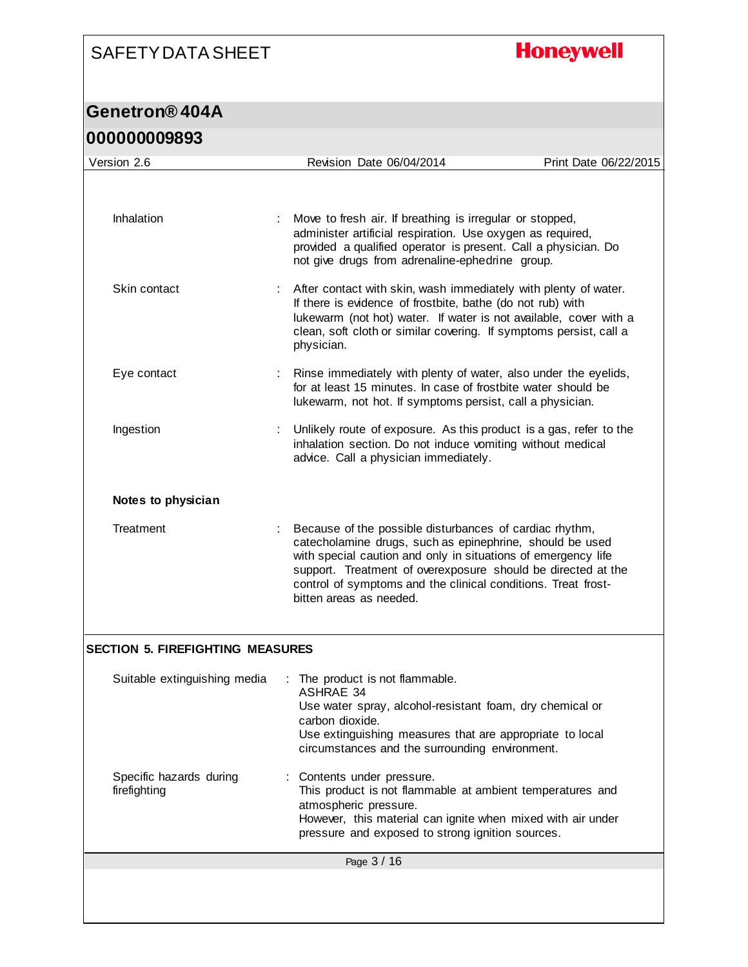# **Honeywell**

| <u>UUUUUUUUJOYJ</u>                     |                                                                                                                                                                                                                                                                                                                                                  |                       |  |  |
|-----------------------------------------|--------------------------------------------------------------------------------------------------------------------------------------------------------------------------------------------------------------------------------------------------------------------------------------------------------------------------------------------------|-----------------------|--|--|
| Version 2.6                             | Revision Date 06/04/2014                                                                                                                                                                                                                                                                                                                         | Print Date 06/22/2015 |  |  |
|                                         |                                                                                                                                                                                                                                                                                                                                                  |                       |  |  |
| Inhalation                              | Move to fresh air. If breathing is irregular or stopped,<br>administer artificial respiration. Use oxygen as required,<br>provided a qualified operator is present. Call a physician. Do<br>not give drugs from adrenaline-ephedrine group.                                                                                                      |                       |  |  |
| Skin contact                            | After contact with skin, wash immediately with plenty of water.<br>If there is evidence of frostbite, bathe (do not rub) with<br>lukewarm (not hot) water. If water is not available, cover with a<br>clean, soft cloth or similar covering. If symptoms persist, call a<br>physician.                                                           |                       |  |  |
| Eye contact                             | Rinse immediately with plenty of water, also under the eyelids,<br>for at least 15 minutes. In case of frostbite water should be<br>lukewarm, not hot. If symptoms persist, call a physician.                                                                                                                                                    |                       |  |  |
| Ingestion                               | Unlikely route of exposure. As this product is a gas, refer to the<br>inhalation section. Do not induce vomiting without medical<br>advice. Call a physician immediately.                                                                                                                                                                        |                       |  |  |
| Notes to physician                      |                                                                                                                                                                                                                                                                                                                                                  |                       |  |  |
| Treatment                               | Because of the possible disturbances of cardiac rhythm,<br>catecholamine drugs, such as epinephrine, should be used<br>with special caution and only in situations of emergency life<br>support. Treatment of overexposure should be directed at the<br>control of symptoms and the clinical conditions. Treat frost-<br>bitten areas as needed. |                       |  |  |
| <b>SECTION 5. FIREFIGHTING MEASURES</b> |                                                                                                                                                                                                                                                                                                                                                  |                       |  |  |
| Suitable extinguishing media            | The product is not flammable.<br><b>ASHRAE 34</b><br>Use water spray, alcohol-resistant foam, dry chemical or<br>carbon dioxide.<br>Use extinguishing measures that are appropriate to local<br>circumstances and the surrounding environment.                                                                                                   |                       |  |  |
| Specific hazards during<br>firefighting | Contents under pressure.<br>This product is not flammable at ambient temperatures and<br>atmospheric pressure.<br>However, this material can ignite when mixed with air under<br>pressure and exposed to strong ignition sources.                                                                                                                |                       |  |  |
|                                         | Page 3 / 16                                                                                                                                                                                                                                                                                                                                      |                       |  |  |
|                                         |                                                                                                                                                                                                                                                                                                                                                  |                       |  |  |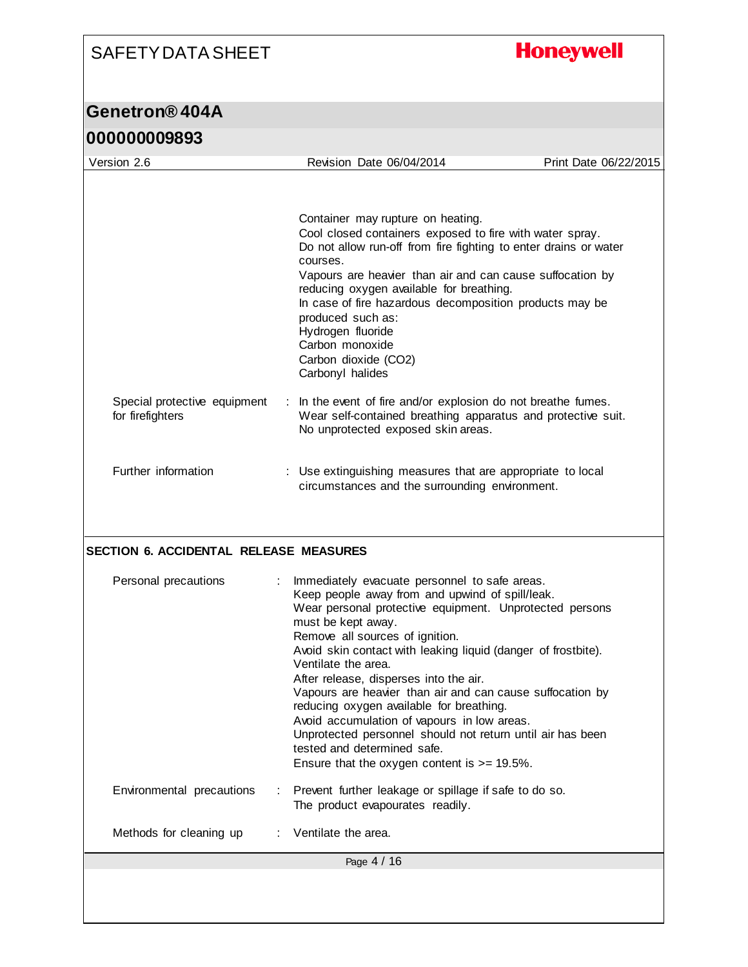# **Honeywell**

| uuuuuuuuu                                        |                                                                                                                                                                                       |                                                                                                                                                                               |                       |  |  |
|--------------------------------------------------|---------------------------------------------------------------------------------------------------------------------------------------------------------------------------------------|-------------------------------------------------------------------------------------------------------------------------------------------------------------------------------|-----------------------|--|--|
| Version 2.6                                      |                                                                                                                                                                                       | Revision Date 06/04/2014                                                                                                                                                      | Print Date 06/22/2015 |  |  |
|                                                  |                                                                                                                                                                                       |                                                                                                                                                                               |                       |  |  |
|                                                  |                                                                                                                                                                                       | Container may rupture on heating.<br>Cool closed containers exposed to fire with water spray.<br>Do not allow run-off from fire fighting to enter drains or water<br>courses. |                       |  |  |
|                                                  | Vapours are heavier than air and can cause suffocation by<br>reducing oxygen available for breathing.<br>In case of fire hazardous decomposition products may be<br>produced such as: |                                                                                                                                                                               |                       |  |  |
|                                                  |                                                                                                                                                                                       | Hydrogen fluoride<br>Carbon monoxide<br>Carbon dioxide (CO2)<br>Carbonyl halides                                                                                              |                       |  |  |
| Special protective equipment<br>for firefighters |                                                                                                                                                                                       | In the event of fire and/or explosion do not breathe fumes.<br>Wear self-contained breathing apparatus and protective suit.<br>No unprotected exposed skin areas.             |                       |  |  |
| Further information                              |                                                                                                                                                                                       | Use extinguishing measures that are appropriate to local<br>circumstances and the surrounding environment.                                                                    |                       |  |  |
|                                                  |                                                                                                                                                                                       |                                                                                                                                                                               |                       |  |  |
|                                                  |                                                                                                                                                                                       |                                                                                                                                                                               |                       |  |  |
| SECTION 6. ACCIDENTAL RELEASE MEASURES           |                                                                                                                                                                                       |                                                                                                                                                                               |                       |  |  |
| Personal precautions                             |                                                                                                                                                                                       | Immediately evacuate personnel to safe areas.<br>Keep people away from and upwind of spill/leak.<br>Wear personal protective equipment. Unprotected persons                   |                       |  |  |
|                                                  |                                                                                                                                                                                       | must be kept away.                                                                                                                                                            |                       |  |  |
|                                                  |                                                                                                                                                                                       | Remove all sources of ignition.<br>Avoid skin contact with leaking liquid (danger of frostbite).                                                                              |                       |  |  |
|                                                  |                                                                                                                                                                                       | Ventilate the area.                                                                                                                                                           |                       |  |  |
|                                                  |                                                                                                                                                                                       | After release, disperses into the air.<br>Vapours are heavier than air and can cause suffocation by<br>reducing oxygen available for breathing.                               |                       |  |  |
|                                                  |                                                                                                                                                                                       | Avoid accumulation of vapours in low areas.<br>Unprotected personnel should not return until air has been                                                                     |                       |  |  |
|                                                  |                                                                                                                                                                                       | tested and determined safe.<br>Ensure that the oxygen content is $>= 19.5\%$ .                                                                                                |                       |  |  |
| Environmental precautions                        |                                                                                                                                                                                       | Prevent further leakage or spillage if safe to do so.<br>The product evapourates readily.                                                                                     |                       |  |  |
| Methods for cleaning up                          |                                                                                                                                                                                       | Ventilate the area.                                                                                                                                                           |                       |  |  |
|                                                  |                                                                                                                                                                                       | Page 4 / 16                                                                                                                                                                   |                       |  |  |
|                                                  |                                                                                                                                                                                       |                                                                                                                                                                               |                       |  |  |
|                                                  |                                                                                                                                                                                       |                                                                                                                                                                               |                       |  |  |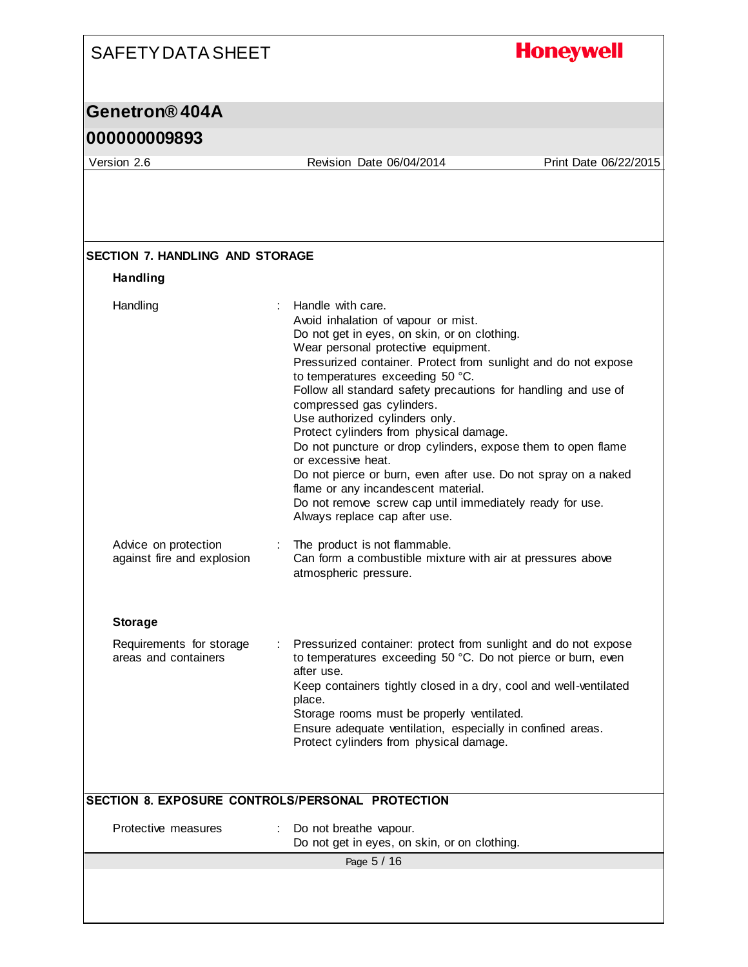#### **Honeywell** SAFETY DATA SHEET **Genetron® 404A 000000009893** Version 2.6 Revision Date 06/04/2014 Print Date 06/22/2015 **SECTION 7. HANDLING AND STORAGE Handling** Handling : Handle with care. Avoid inhalation of vapour or mist. Do not get in eyes, on skin, or on clothing. Wear personal protective equipment. Pressurized container. Protect from sunlight and do not expose to temperatures exceeding 50 °C. Follow all standard safety precautions for handling and use of compressed gas cylinders. Use authorized cylinders only. Protect cylinders from physical damage. Do not puncture or drop cylinders, expose them to open flame or excessive heat. Do not pierce or burn, even after use. Do not spray on a naked flame or any incandescent material. Do not remove screw cap until immediately ready for use. Always replace cap after use. Advice on protection : The product is not flammable. against fire and explosion Can form a combustible mixture with air at pressures above atmospheric pressure.

#### **Storage**

| Requirements for storage<br>areas and containers | Pressurized container: protect from sunlight and do not expose<br>to temperatures exceeding 50 °C. Do not pierce or burn, even<br>after use. |
|--------------------------------------------------|----------------------------------------------------------------------------------------------------------------------------------------------|
|                                                  | Keep containers tightly closed in a dry, cool and well-ventilated<br>place.                                                                  |
|                                                  | Storage rooms must be properly ventilated.                                                                                                   |
|                                                  | Ensure adequate ventilation, especially in confined areas.                                                                                   |
|                                                  | Protect cylinders from physical damage.                                                                                                      |

#### **SECTION 8. EXPOSURE CONTROLS/PERSONAL PROTECTION**

| : Do not breathe vapour.<br>Protective measures<br>Do not get in eyes, on skin, or on clothing. |
|-------------------------------------------------------------------------------------------------|
| Page 5 / 16                                                                                     |
|                                                                                                 |
|                                                                                                 |
|                                                                                                 |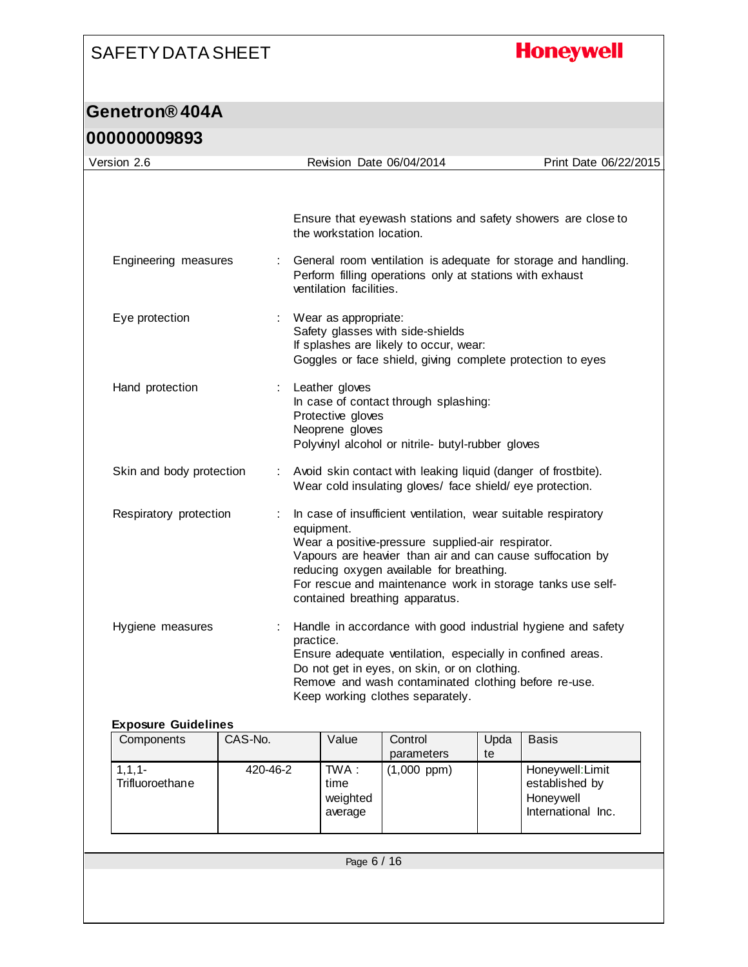# **Honeywell**

| Revision Date 06/04/2014<br>Ensure that eyewash stations and safety showers are close to<br>the workstation location.<br>General room ventilation is adequate for storage and handling.<br>Engineering measures<br>÷<br>Perform filling operations only at stations with exhaust<br>ventilation facilities.<br>Eye protection<br>Wear as appropriate:<br>÷<br>Safety glasses with side-shields<br>If splashes are likely to occur, wear:<br>Goggles or face shield, giving complete protection to eyes<br>Hand protection<br>Leather gloves<br>÷<br>In case of contact through splashing:<br>Protective gloves<br>Neoprene gloves<br>Polyvinyl alcohol or nitrile- butyl-rubber gloves<br>Skin and body protection<br>: Avoid skin contact with leaking liquid (danger of frostbite).<br>Wear cold insulating gloves/ face shield/ eye protection.<br>Respiratory protection<br>In case of insufficient ventilation, wear suitable respiratory<br>equipment.<br>Wear a positive-pressure supplied-air respirator.<br>Vapours are heavier than air and can cause suffocation by<br>reducing oxygen available for breathing.<br>For rescue and maintenance work in storage tanks use self-<br>contained breathing apparatus.<br>Handle in accordance with good industrial hygiene and safety<br>Hygiene measures<br>practice.<br>Ensure adequate ventilation, especially in confined areas.<br>Do not get in eyes, on skin, or on clothing.<br>Remove and wash contaminated clothing before re-use.<br>Keep working clothes separately.<br><b>Exposure Guidelines</b><br>Components<br>CAS-No.<br>Value<br>Control<br>Upda<br><b>Basis</b><br>parameters<br>te<br>1, 1, 1<br>TWA:<br>Honeywell: Limit<br>420-46-2<br>$(1,000$ ppm $)$<br>Trifluoroethane<br>time<br>established by<br>Honeywell<br>weighted<br>International Inc.<br>average | 000000009893<br>Version 2.6 |  |  |  | Print Date 06/22/2015 |
|--------------------------------------------------------------------------------------------------------------------------------------------------------------------------------------------------------------------------------------------------------------------------------------------------------------------------------------------------------------------------------------------------------------------------------------------------------------------------------------------------------------------------------------------------------------------------------------------------------------------------------------------------------------------------------------------------------------------------------------------------------------------------------------------------------------------------------------------------------------------------------------------------------------------------------------------------------------------------------------------------------------------------------------------------------------------------------------------------------------------------------------------------------------------------------------------------------------------------------------------------------------------------------------------------------------------------------------------------------------------------------------------------------------------------------------------------------------------------------------------------------------------------------------------------------------------------------------------------------------------------------------------------------------------------------------------------------------------------------------------------------------------------------------------------------------------------------------------|-----------------------------|--|--|--|-----------------------|
|                                                                                                                                                                                                                                                                                                                                                                                                                                                                                                                                                                                                                                                                                                                                                                                                                                                                                                                                                                                                                                                                                                                                                                                                                                                                                                                                                                                                                                                                                                                                                                                                                                                                                                                                                                                                                                            |                             |  |  |  |                       |
|                                                                                                                                                                                                                                                                                                                                                                                                                                                                                                                                                                                                                                                                                                                                                                                                                                                                                                                                                                                                                                                                                                                                                                                                                                                                                                                                                                                                                                                                                                                                                                                                                                                                                                                                                                                                                                            |                             |  |  |  |                       |
|                                                                                                                                                                                                                                                                                                                                                                                                                                                                                                                                                                                                                                                                                                                                                                                                                                                                                                                                                                                                                                                                                                                                                                                                                                                                                                                                                                                                                                                                                                                                                                                                                                                                                                                                                                                                                                            |                             |  |  |  |                       |
|                                                                                                                                                                                                                                                                                                                                                                                                                                                                                                                                                                                                                                                                                                                                                                                                                                                                                                                                                                                                                                                                                                                                                                                                                                                                                                                                                                                                                                                                                                                                                                                                                                                                                                                                                                                                                                            |                             |  |  |  |                       |
|                                                                                                                                                                                                                                                                                                                                                                                                                                                                                                                                                                                                                                                                                                                                                                                                                                                                                                                                                                                                                                                                                                                                                                                                                                                                                                                                                                                                                                                                                                                                                                                                                                                                                                                                                                                                                                            |                             |  |  |  |                       |
|                                                                                                                                                                                                                                                                                                                                                                                                                                                                                                                                                                                                                                                                                                                                                                                                                                                                                                                                                                                                                                                                                                                                                                                                                                                                                                                                                                                                                                                                                                                                                                                                                                                                                                                                                                                                                                            |                             |  |  |  |                       |
|                                                                                                                                                                                                                                                                                                                                                                                                                                                                                                                                                                                                                                                                                                                                                                                                                                                                                                                                                                                                                                                                                                                                                                                                                                                                                                                                                                                                                                                                                                                                                                                                                                                                                                                                                                                                                                            |                             |  |  |  |                       |
|                                                                                                                                                                                                                                                                                                                                                                                                                                                                                                                                                                                                                                                                                                                                                                                                                                                                                                                                                                                                                                                                                                                                                                                                                                                                                                                                                                                                                                                                                                                                                                                                                                                                                                                                                                                                                                            |                             |  |  |  |                       |
|                                                                                                                                                                                                                                                                                                                                                                                                                                                                                                                                                                                                                                                                                                                                                                                                                                                                                                                                                                                                                                                                                                                                                                                                                                                                                                                                                                                                                                                                                                                                                                                                                                                                                                                                                                                                                                            |                             |  |  |  |                       |
|                                                                                                                                                                                                                                                                                                                                                                                                                                                                                                                                                                                                                                                                                                                                                                                                                                                                                                                                                                                                                                                                                                                                                                                                                                                                                                                                                                                                                                                                                                                                                                                                                                                                                                                                                                                                                                            |                             |  |  |  |                       |
|                                                                                                                                                                                                                                                                                                                                                                                                                                                                                                                                                                                                                                                                                                                                                                                                                                                                                                                                                                                                                                                                                                                                                                                                                                                                                                                                                                                                                                                                                                                                                                                                                                                                                                                                                                                                                                            |                             |  |  |  |                       |
| Page 6 / 16                                                                                                                                                                                                                                                                                                                                                                                                                                                                                                                                                                                                                                                                                                                                                                                                                                                                                                                                                                                                                                                                                                                                                                                                                                                                                                                                                                                                                                                                                                                                                                                                                                                                                                                                                                                                                                |                             |  |  |  |                       |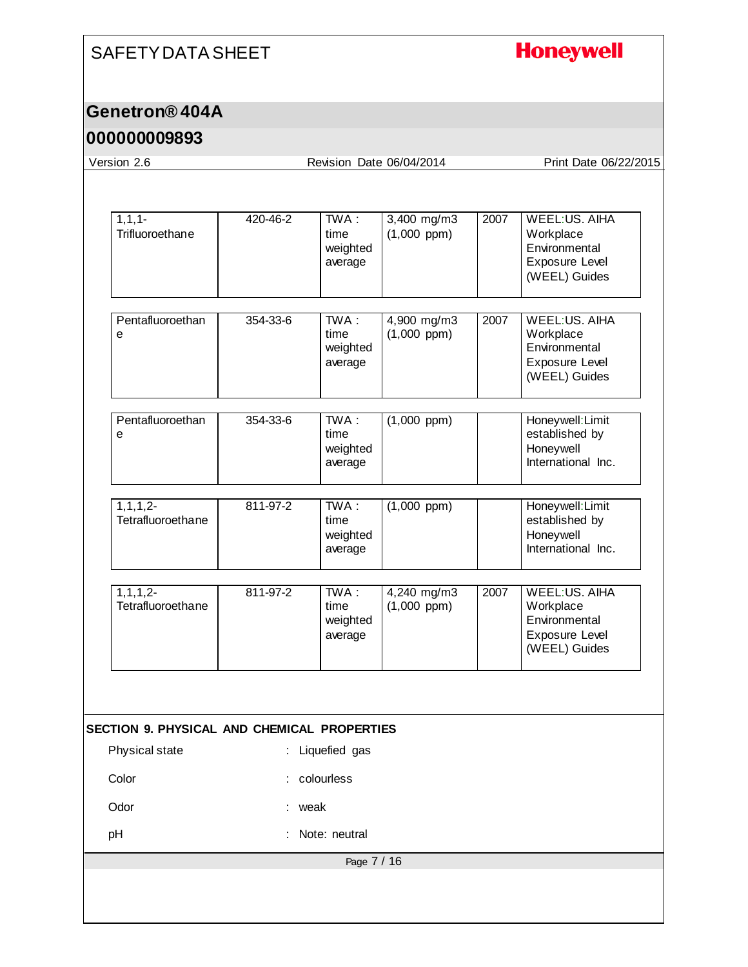### **Honeywell**

#### **Genetron® 404A**

#### **000000009893**

Page 7 / 16 Version 2.6 Revision Date 06/04/2014 Print Date 06/22/2015  $1,1,-$ **Trifluoroethane** 420-46-2 TWA : time weighted average 3,400 mg/m3 (1,000 ppm) 2007 WEEL:US. AIHA Workplace **Environmental** Exposure Level (WEEL) Guides **Pentafluoroethan** e 354-33-6 TWA : time weighted average 4,900 mg/m3 (1,000 ppm) 2007 WEEL:US. AIHA **Workplace Environmental** Exposure Level (WEEL) Guides **Pentafluoroethan** e 354-33-6 TWA : time weighted average (1,000 ppm) Honeywell:Limit established by Honeywell International Inc. 1,1,1,2- **Tetrafluoroethane** 811-97-2 TWA : time weighted average (1,000 ppm) Honeywell:Limit established by Honeywell International Inc. 1,1,1,2- **Tetrafluoroethane** 811-97-2 TWA : time weighted average 4,240 mg/m3 (1,000 ppm) 2007 WEEL:US. AIHA **Workplace** Environmental Exposure Level (WEEL) Guides **SECTION 9. PHYSICAL AND CHEMICAL PROPERTIES** Physical state : Liquefied gas Color : colourless Odor : weak pH : Note: neutral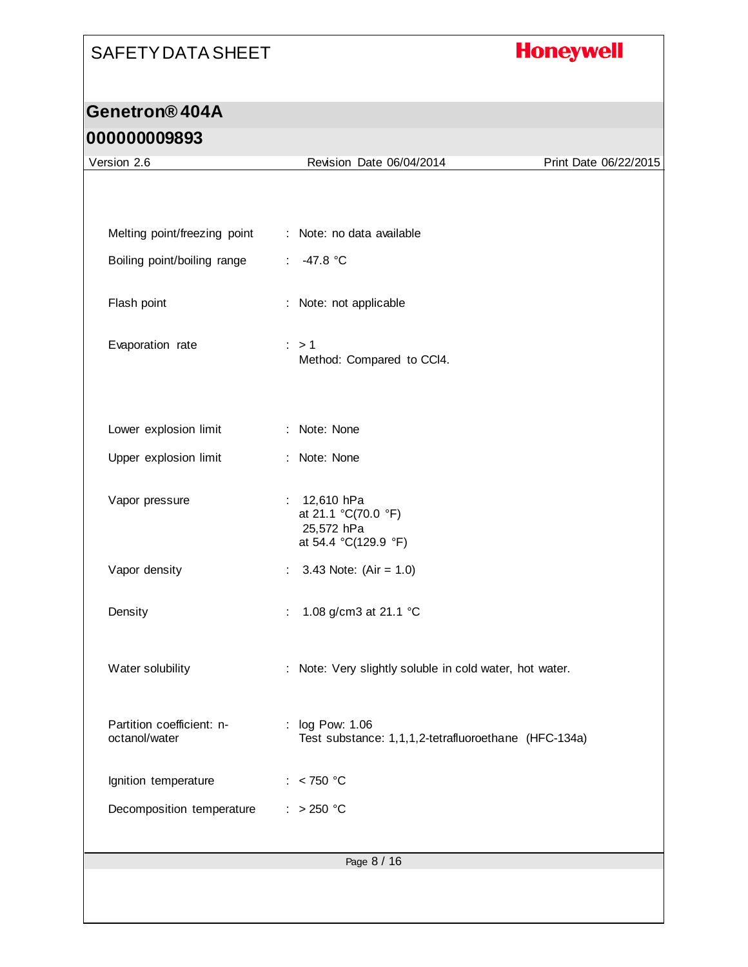# **Honeywell**

| Version 2.6                                | Revision Date 06/04/2014                                                    | Print Date 06/22/2015 |
|--------------------------------------------|-----------------------------------------------------------------------------|-----------------------|
|                                            |                                                                             |                       |
|                                            |                                                                             |                       |
| Melting point/freezing point               | : Note: no data available                                                   |                       |
| Boiling point/boiling range                | $-47.8 °C$<br>$\mathcal{L}^{\mathcal{L}}$                                   |                       |
| Flash point                                | : Note: not applicable                                                      |                       |
| Evaporation rate                           | $\therefore$ > 1<br>Method: Compared to CCI4.                               |                       |
| Lower explosion limit                      | : Note: None                                                                |                       |
| Upper explosion limit                      | : Note: None                                                                |                       |
| Vapor pressure                             | : $12,610$ hPa<br>at 21.1 °C(70.0 °F)<br>25,572 hPa<br>at 54.4 °C(129.9 °F) |                       |
| Vapor density                              | 3.43 Note: $(Air = 1.0)$<br>$\mathbb{Z}^{\times}$                           |                       |
| Density                                    | 1.08 g/cm3 at 21.1 °C<br>÷                                                  |                       |
| Water solubility                           | : Note: Very slightly soluble in cold water, hot water.                     |                       |
| Partition coefficient: n-<br>octanol/water | : log Pow: 1.06<br>Test substance: 1,1,1,2-tetrafluoroethane (HFC-134a)     |                       |
| Ignition temperature                       | : $< 750 °C$                                                                |                       |
| Decomposition temperature                  | $: >250$ °C                                                                 |                       |
|                                            | Page 8 / 16                                                                 |                       |
|                                            |                                                                             |                       |
|                                            |                                                                             |                       |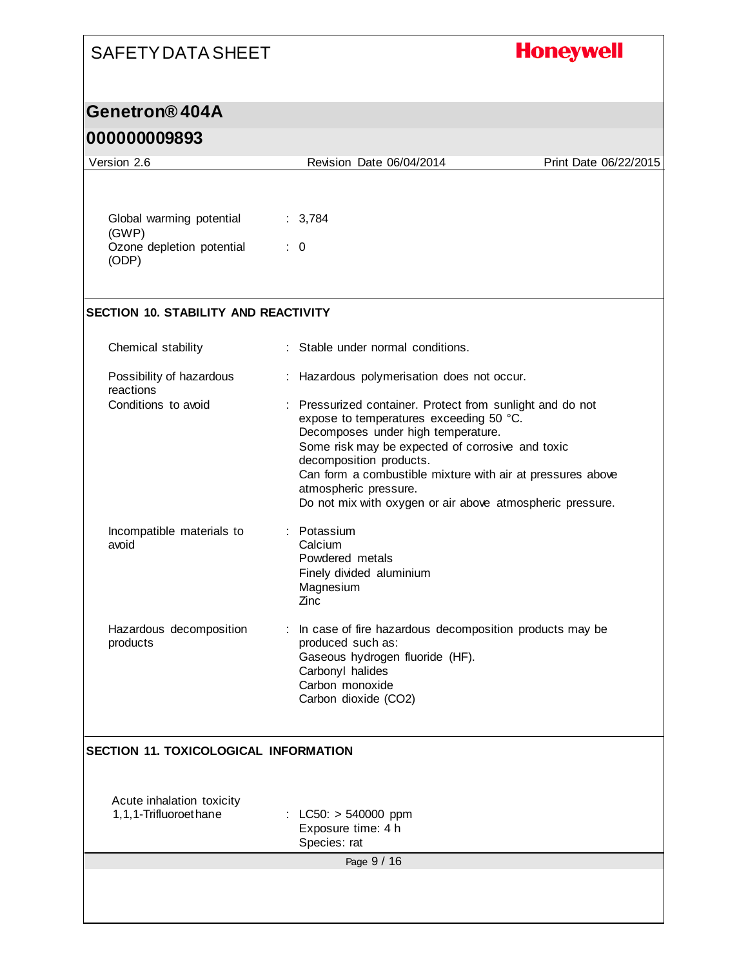# **Honeywell**

### **Genetron® 404A**

| Version 2.6                                        | Revision Date 06/04/2014                                                                                                                   | Print Date 06/22/2015 |
|----------------------------------------------------|--------------------------------------------------------------------------------------------------------------------------------------------|-----------------------|
|                                                    |                                                                                                                                            |                       |
| Global warming potential<br>(GWP)                  | : 3,784                                                                                                                                    |                       |
| Ozone depletion potential<br>(ODP)                 | $\therefore$ 0                                                                                                                             |                       |
| <b>SECTION 10. STABILITY AND REACTIVITY</b>        |                                                                                                                                            |                       |
| Chemical stability                                 | : Stable under normal conditions.                                                                                                          |                       |
| Possibility of hazardous<br>reactions              | : Hazardous polymerisation does not occur.                                                                                                 |                       |
| Conditions to avoid                                | : Pressurized container. Protect from sunlight and do not<br>expose to temperatures exceeding 50 °C.<br>Decomposes under high temperature. |                       |
|                                                    | Some risk may be expected of corrosive and toxic<br>decomposition products.<br>Can form a combustible mixture with air at pressures above  |                       |
|                                                    | atmospheric pressure.<br>Do not mix with oxygen or air above atmospheric pressure.                                                         |                       |
| Incompatible materials to<br>avoid                 | : Potassium<br>Calcium<br>Powdered metals<br>Finely divided aluminium<br>Magnesium                                                         |                       |
| Hazardous decomposition<br>products                | Zinc<br>: In case of fire hazardous decomposition products may be<br>produced such as:                                                     |                       |
|                                                    | Gaseous hydrogen fluoride (HF).<br>Carbonyl halides<br>Carbon monoxide                                                                     |                       |
|                                                    | Carbon dioxide (CO2)                                                                                                                       |                       |
| <b>SECTION 11. TOXICOLOGICAL INFORMATION</b>       |                                                                                                                                            |                       |
| Acute inhalation toxicity<br>1,1,1-Trifluoroethane | $LC50: > 540000$ ppm<br>Exposure time: 4 h<br>Species: rat                                                                                 |                       |
|                                                    | Page 9 / 16                                                                                                                                |                       |
|                                                    |                                                                                                                                            |                       |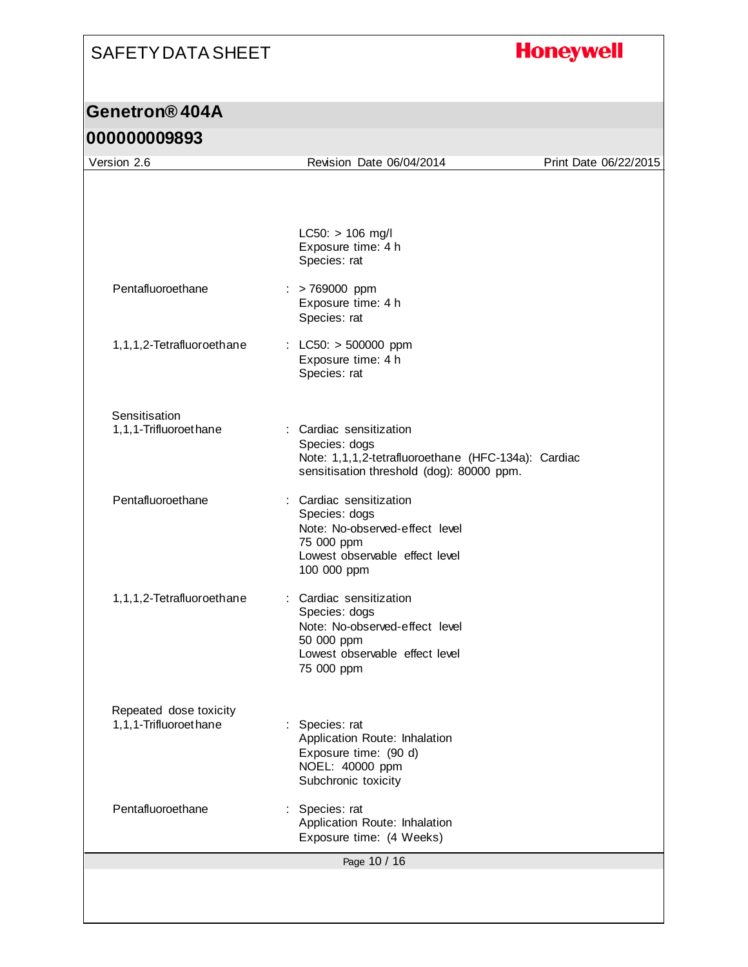# **Honeywell**

# **Genetron® 404A**

| Version 2.6                                     | Revision Date 06/04/2014                                                                                                                     | Print Date 06/22/2015 |
|-------------------------------------------------|----------------------------------------------------------------------------------------------------------------------------------------------|-----------------------|
|                                                 |                                                                                                                                              |                       |
|                                                 | $LC50:$ > 106 mg/l<br>Exposure time: 4 h<br>Species: rat                                                                                     |                       |
| Pentafluoroethane                               | $:$ > 769000 ppm<br>Exposure time: 4 h<br>Species: rat                                                                                       |                       |
| 1,1,1,2-Tetrafluoroethane                       | : LC50: $>$ 500000 ppm<br>Exposure time: 4 h<br>Species: rat                                                                                 |                       |
| Sensitisation<br>1,1,1-Trifluoroethane          | : Cardiac sensitization<br>Species: dogs<br>Note: 1,1,1,2-tetrafluoroethane (HFC-134a): Cardiac<br>sensitisation threshold (dog): 80000 ppm. |                       |
| Pentafluoroethane                               | Cardiac sensitization<br>Species: dogs<br>Note: No-observed-effect level<br>75 000 ppm<br>Lowest observable effect level<br>100 000 ppm      |                       |
| 1,1,1,2-Tetrafluoroethane                       | : Cardiac sensitization<br>Species: dogs<br>Note: No-observed-effect level<br>50 000 ppm<br>Lowest observable effect level<br>75 000 ppm     |                       |
| Repeated dose toxicity<br>1,1,1-Trifluoroethane | Species: rat<br>Application Route: Inhalation<br>Exposure time: (90 d)<br>NOEL: 40000 ppm<br>Subchronic toxicity                             |                       |
| Pentafluoroethane                               | : Species: rat<br>Application Route: Inhalation<br>Exposure time: (4 Weeks)                                                                  |                       |
|                                                 | Page 10 / 16                                                                                                                                 |                       |
|                                                 |                                                                                                                                              |                       |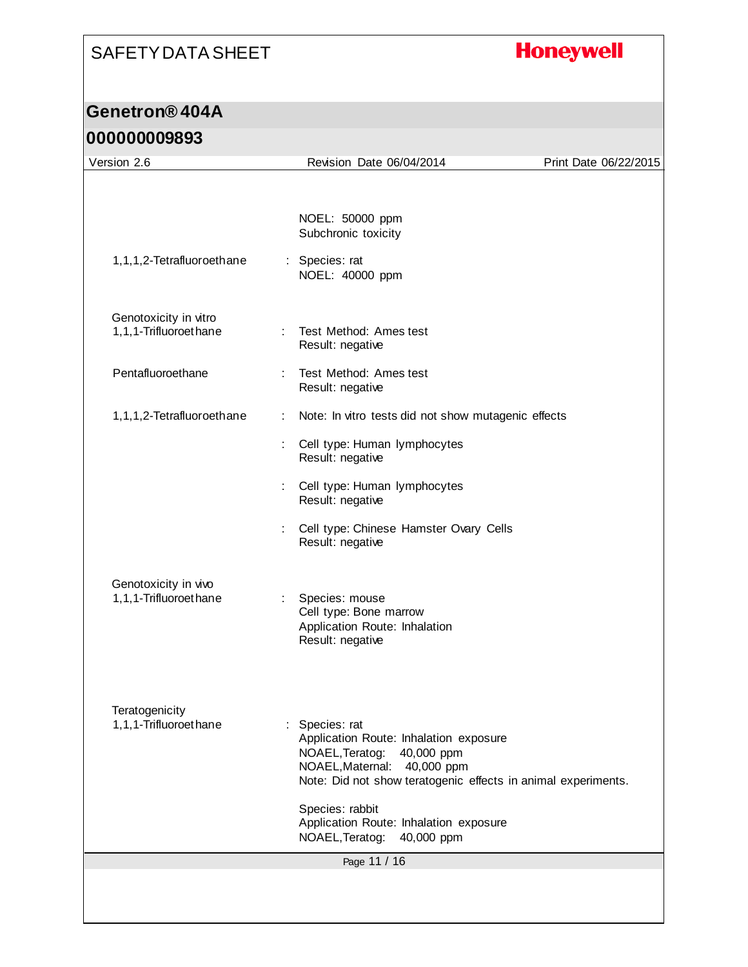# **Honeywell**

# **Genetron® 404A**

| Version 2.6                                    |    | Revision Date 06/04/2014                                                                                                                                                                     | Print Date 06/22/2015 |
|------------------------------------------------|----|----------------------------------------------------------------------------------------------------------------------------------------------------------------------------------------------|-----------------------|
|                                                |    | NOEL: 50000 ppm<br>Subchronic toxicity                                                                                                                                                       |                       |
| 1,1,1,2-Tetrafluoroethane                      |    | : Species: rat<br>NOEL: 40000 ppm                                                                                                                                                            |                       |
| Genotoxicity in vitro<br>1,1,1-Trifluoroethane |    | Test Method: Ames test<br>Result: negative                                                                                                                                                   |                       |
| Pentafluoroethane                              |    | Test Method: Ames test<br>Result: negative                                                                                                                                                   |                       |
| 1,1,1,2-Tetrafluoroethane                      | ÷. | Note: In vitro tests did not show mutagenic effects                                                                                                                                          |                       |
|                                                |    | Cell type: Human lymphocytes<br>Result: negative                                                                                                                                             |                       |
|                                                |    | : Cell type: Human lymphocytes<br>Result: negative                                                                                                                                           |                       |
|                                                |    | Cell type: Chinese Hamster Ovary Cells<br>Result: negative                                                                                                                                   |                       |
| Genotoxicity in vivo<br>1,1,1-Trifluoroethane  |    | Species: mouse<br>Cell type: Bone marrow<br>Application Route: Inhalation<br>Result: negative                                                                                                |                       |
| Teratogenicity<br>1,1,1-Trifluoroethane        |    | : Species: rat<br>Application Route: Inhalation exposure<br>NOAEL, Teratog:<br>40,000 ppm<br>NOAEL, Maternal:<br>40,000 ppm<br>Note: Did not show teratogenic effects in animal experiments. |                       |
|                                                |    | Species: rabbit<br>Application Route: Inhalation exposure<br>NOAEL, Teratog:<br>40,000 ppm                                                                                                   |                       |
|                                                |    | Page 11 / 16                                                                                                                                                                                 |                       |
|                                                |    |                                                                                                                                                                                              |                       |
|                                                |    |                                                                                                                                                                                              |                       |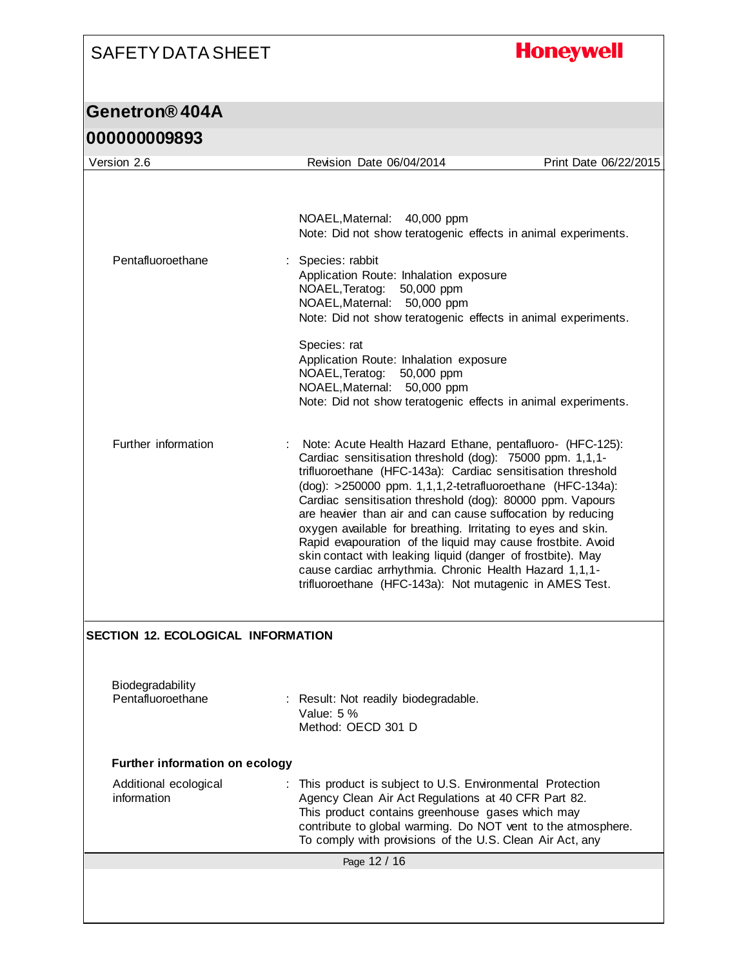# **Honeywell**

| <u>UUUUUUUUJOJJ</u>                          |                                                                                                                        |                                                                                                                                                                                                                                                                                                                                                                                                                                                                                                                                                                                                                                                                                                 |                       |
|----------------------------------------------|------------------------------------------------------------------------------------------------------------------------|-------------------------------------------------------------------------------------------------------------------------------------------------------------------------------------------------------------------------------------------------------------------------------------------------------------------------------------------------------------------------------------------------------------------------------------------------------------------------------------------------------------------------------------------------------------------------------------------------------------------------------------------------------------------------------------------------|-----------------------|
| Version 2.6                                  | Revision Date 06/04/2014                                                                                               |                                                                                                                                                                                                                                                                                                                                                                                                                                                                                                                                                                                                                                                                                                 | Print Date 06/22/2015 |
|                                              | NOAEL, Maternal: 40,000 ppm                                                                                            | Note: Did not show teratogenic effects in animal experiments.                                                                                                                                                                                                                                                                                                                                                                                                                                                                                                                                                                                                                                   |                       |
| Pentafluoroethane                            | Species: rabbit<br>Application Route: Inhalation exposure<br>NOAEL, Teratog: 50,000 ppm<br>NOAEL, Maternal: 50,000 ppm | Note: Did not show teratogenic effects in animal experiments.                                                                                                                                                                                                                                                                                                                                                                                                                                                                                                                                                                                                                                   |                       |
|                                              | Species: rat<br>Application Route: Inhalation exposure<br>NOAEL, Teratog:<br>NOAEL, Maternal: 50,000 ppm               | 50,000 ppm<br>Note: Did not show teratogenic effects in animal experiments.                                                                                                                                                                                                                                                                                                                                                                                                                                                                                                                                                                                                                     |                       |
| Further information                          |                                                                                                                        | Note: Acute Health Hazard Ethane, pentafluoro- (HFC-125):<br>Cardiac sensitisation threshold (dog): 75000 ppm. 1,1,1-<br>trifluoroethane (HFC-143a): Cardiac sensitisation threshold<br>(dog): >250000 ppm. 1,1,1,2-tetrafluoroethane (HFC-134a):<br>Cardiac sensitisation threshold (dog): 80000 ppm. Vapours<br>are heavier than air and can cause suffocation by reducing<br>oxygen available for breathing. Irritating to eyes and skin.<br>Rapid evapouration of the liquid may cause frostbite. Avoid<br>skin contact with leaking liquid (danger of frostbite). May<br>cause cardiac arrhythmia. Chronic Health Hazard 1,1,1-<br>trifluoroethane (HFC-143a): Not mutagenic in AMES Test. |                       |
| <b>SECTION 12. ECOLOGICAL INFORMATION</b>    |                                                                                                                        |                                                                                                                                                                                                                                                                                                                                                                                                                                                                                                                                                                                                                                                                                                 |                       |
| <b>Biodegradability</b><br>Pentafluoroethane | : Result: Not readily biodegradable.<br>Value: 5 %<br>Method: OECD 301 D                                               |                                                                                                                                                                                                                                                                                                                                                                                                                                                                                                                                                                                                                                                                                                 |                       |
| <b>Further information on ecology</b>        |                                                                                                                        |                                                                                                                                                                                                                                                                                                                                                                                                                                                                                                                                                                                                                                                                                                 |                       |
| Additional ecological<br>information         |                                                                                                                        | : This product is subject to U.S. Environmental Protection<br>Agency Clean Air Act Regulations at 40 CFR Part 82.<br>This product contains greenhouse gases which may<br>contribute to global warming. Do NOT vent to the atmosphere.<br>To comply with provisions of the U.S. Clean Air Act, any                                                                                                                                                                                                                                                                                                                                                                                               |                       |
|                                              | Page 12 / 16                                                                                                           |                                                                                                                                                                                                                                                                                                                                                                                                                                                                                                                                                                                                                                                                                                 |                       |
|                                              |                                                                                                                        |                                                                                                                                                                                                                                                                                                                                                                                                                                                                                                                                                                                                                                                                                                 |                       |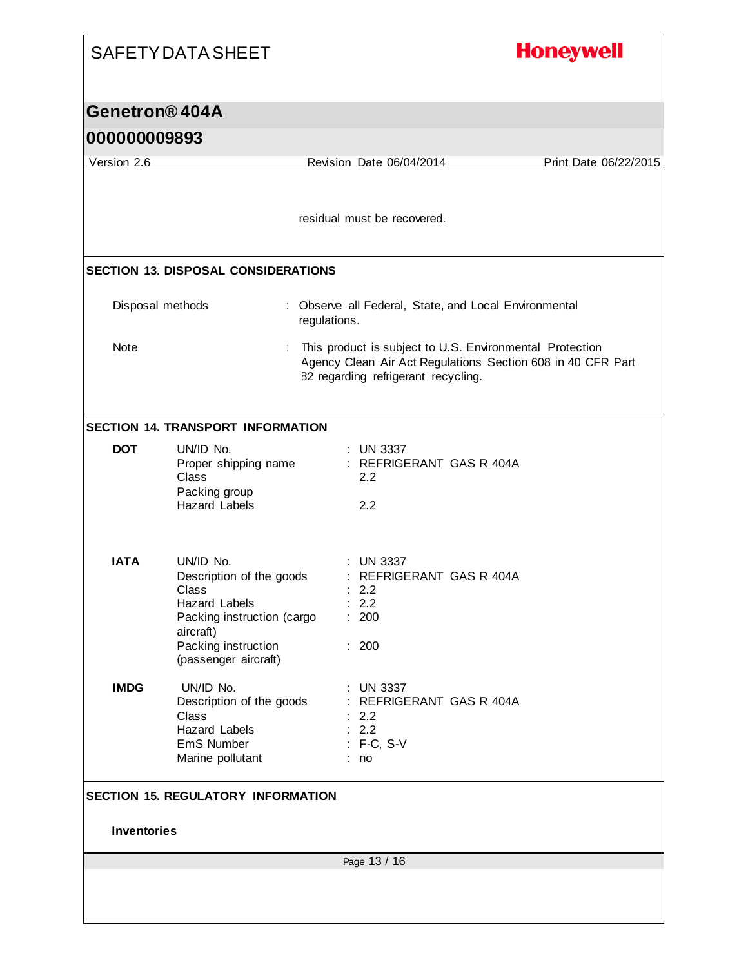# **Honeywell**

### **Genetron® 404A**

| Version 2.6        |                                                                                                                                                                  |              | Revision Date 06/04/2014                                                                                                                                       | Print Date 06/22/2015 |
|--------------------|------------------------------------------------------------------------------------------------------------------------------------------------------------------|--------------|----------------------------------------------------------------------------------------------------------------------------------------------------------------|-----------------------|
|                    |                                                                                                                                                                  |              | residual must be recovered.                                                                                                                                    |                       |
|                    | <b>SECTION 13. DISPOSAL CONSIDERATIONS</b>                                                                                                                       |              |                                                                                                                                                                |                       |
| Disposal methods   |                                                                                                                                                                  | regulations. | : Observe all Federal, State, and Local Environmental                                                                                                          |                       |
| Note               |                                                                                                                                                                  |              | This product is subject to U.S. Environmental Protection<br>Agency Clean Air Act Regulations Section 608 in 40 CFR Part<br>82 regarding refrigerant recycling. |                       |
|                    | <b>SECTION 14. TRANSPORT INFORMATION</b>                                                                                                                         |              |                                                                                                                                                                |                       |
| <b>DOT</b>         | UN/ID No.<br>Proper shipping name<br><b>Class</b><br>Packing group<br><b>Hazard Labels</b>                                                                       |              | $:$ UN 3337<br>: REFRIGERANT GAS R 404A<br>2.2<br>2.2                                                                                                          |                       |
| <b>IATA</b>        | UN/ID No.<br>Description of the goods<br>Class<br><b>Hazard Labels</b><br>Packing instruction (cargo<br>aircraft)<br>Packing instruction<br>(passenger aircraft) |              | : UN 3337<br>: REFRIGERANT GAS R 404A<br>: 2.2<br>: 2.2<br>: 200<br>: 200                                                                                      |                       |
| <b>IMDG</b>        | UN/ID No.<br>Description of the goods<br>Class<br><b>Hazard Labels</b><br>EmS Number<br>Marine pollutant<br><b>SECTION 15. REGULATORY INFORMATION</b>            |              | <b>UN 3337</b><br>REFRIGERANT GAS R 404A<br>2.2<br>2.2<br>: F-C, S-V<br>no                                                                                     |                       |
| <b>Inventories</b> |                                                                                                                                                                  |              |                                                                                                                                                                |                       |
|                    |                                                                                                                                                                  |              | Page 13 / 16                                                                                                                                                   |                       |
|                    |                                                                                                                                                                  |              |                                                                                                                                                                |                       |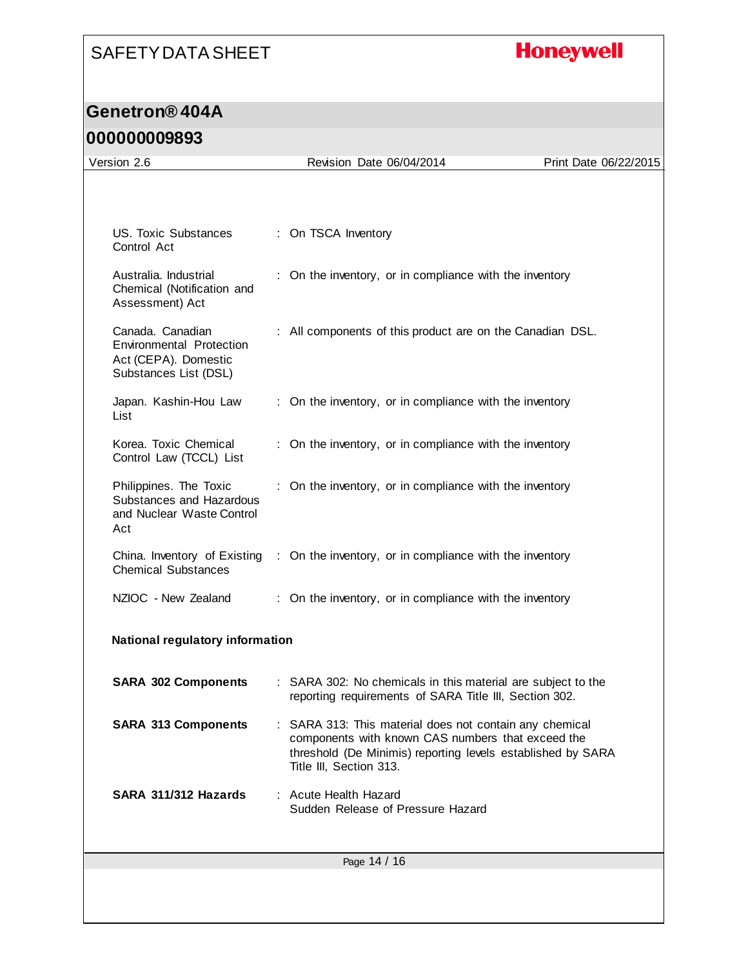# **Honeywell**

## **Genetron® 404A**

| Version 2.6                                                                                   |  | Revision Date 06/04/2014                                                                                                                                                                             | Print Date 06/22/2015 |  |  |  |
|-----------------------------------------------------------------------------------------------|--|------------------------------------------------------------------------------------------------------------------------------------------------------------------------------------------------------|-----------------------|--|--|--|
|                                                                                               |  |                                                                                                                                                                                                      |                       |  |  |  |
| US. Toxic Substances<br>Control Act                                                           |  | : On TSCA Inventory                                                                                                                                                                                  |                       |  |  |  |
| Australia. Industrial<br>Chemical (Notification and<br>Assessment) Act                        |  | : On the inventory, or in compliance with the inventory                                                                                                                                              |                       |  |  |  |
| Canada, Canadian<br>Environmental Protection<br>Act (CEPA). Domestic<br>Substances List (DSL) |  | : All components of this product are on the Canadian DSL.                                                                                                                                            |                       |  |  |  |
| Japan. Kashin-Hou Law<br>List                                                                 |  | : On the inventory, or in compliance with the inventory                                                                                                                                              |                       |  |  |  |
| Korea. Toxic Chemical<br>Control Law (TCCL) List                                              |  | : On the inventory, or in compliance with the inventory                                                                                                                                              |                       |  |  |  |
| Philippines. The Toxic<br>Substances and Hazardous<br>and Nuclear Waste Control<br>Act        |  | : On the inventory, or in compliance with the inventory                                                                                                                                              |                       |  |  |  |
| China. Inventory of Existing<br><b>Chemical Substances</b>                                    |  | : On the inventory, or in compliance with the inventory                                                                                                                                              |                       |  |  |  |
| NZIOC - New Zealand                                                                           |  | : On the inventory, or in compliance with the inventory                                                                                                                                              |                       |  |  |  |
| <b>National regulatory information</b>                                                        |  |                                                                                                                                                                                                      |                       |  |  |  |
| <b>SARA 302 Components</b>                                                                    |  | : SARA 302: No chemicals in this material are subject to the<br>reporting requirements of SARA Title III, Section 302.                                                                               |                       |  |  |  |
| <b>SARA 313 Components</b>                                                                    |  | SARA 313: This material does not contain any chemical<br>components with known CAS numbers that exceed the<br>threshold (De Minimis) reporting levels established by SARA<br>Title III, Section 313. |                       |  |  |  |
| SARA 311/312 Hazards                                                                          |  | : Acute Health Hazard<br>Sudden Release of Pressure Hazard                                                                                                                                           |                       |  |  |  |
| Page 14 / 16                                                                                  |  |                                                                                                                                                                                                      |                       |  |  |  |
|                                                                                               |  |                                                                                                                                                                                                      |                       |  |  |  |
|                                                                                               |  |                                                                                                                                                                                                      |                       |  |  |  |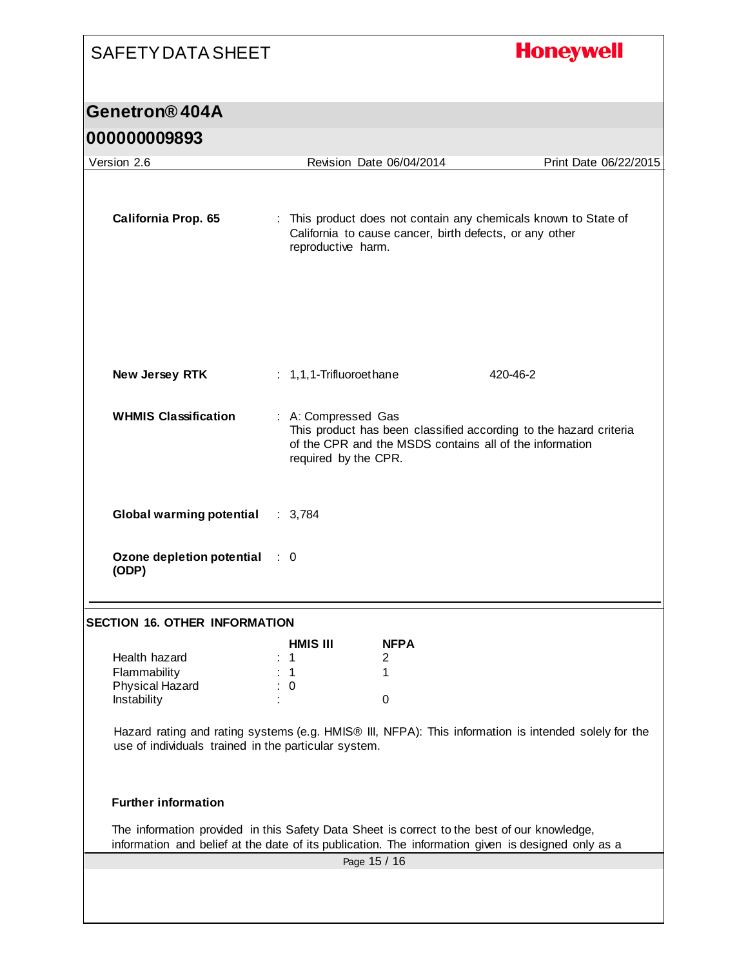# **Honeywell** SAFETY DATA SHEET **Genetron® 404A 000000009893** Version 2.6 Revision Date 06/04/2014 Print Date 06/22/2015 **California Prop. 65** : This product does not contain any chemicals known to State of California to cause cancer, birth defects, or any other reproductive harm. **New Jersey RTK** : 1,1,1-Trifluoroethane 420-46-2 **WHMIS Classification** : A: Compressed Gas This product has been classified according to the hazard criteria of the CPR and the MSDS contains all of the information required by the CPR. **Global warming potential** : 3,784 **Ozone depletion potential**  : 0 **(ODP) SECTION 16. OTHER INFORMATION HMIS III NFPA** Health hazard : 1 2 Flammability : 1 1 1 Physical Hazard : 0 Instability in the contract of the contract of the contract of the contract of the contract of the contract of the contract of the contract of the contract of the contract of the contract of the contract of the contract of Hazard rating and rating systems (e.g. HMIS® III, NFPA): This information is intended solely for the use of individuals trained in the particular system. **Further information** The information provided in this Safety Data Sheet is correct to the best of our knowledge, information and belief at the date of its publication. The information given is designed only as a Page 15 / 16